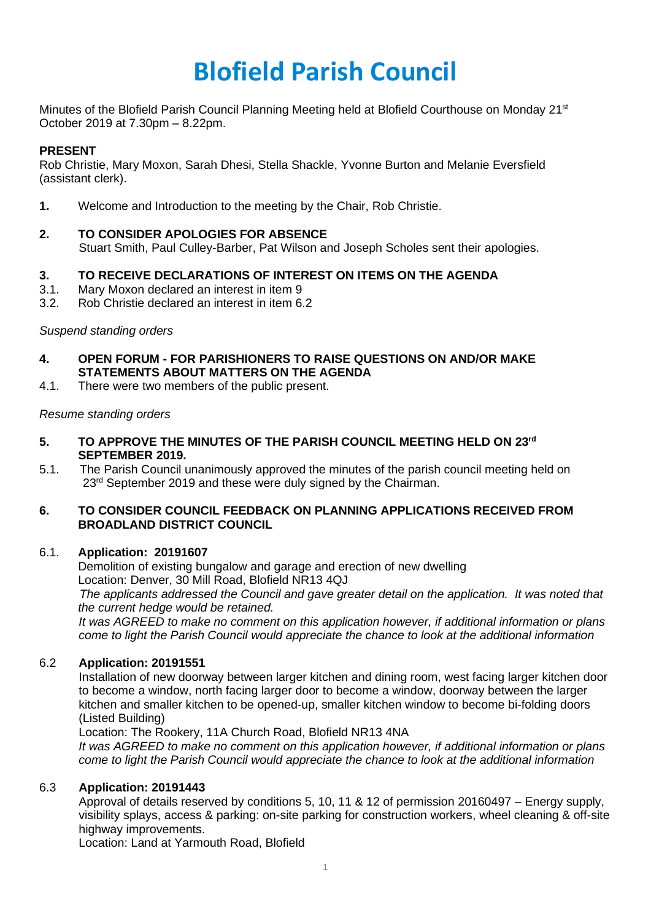# **Blofield Parish Council**

Minutes of the Blofield Parish Council Planning Meeting held at Blofield Courthouse on Monday 21st October 2019 at 7.30pm – 8.22pm.

## **PRESENT**

Rob Christie, Mary Moxon, Sarah Dhesi, Stella Shackle, Yvonne Burton and Melanie Eversfield (assistant clerk).

**1.** Welcome and Introduction to the meeting by the Chair, Rob Christie.

## **2. TO CONSIDER APOLOGIES FOR ABSENCE**

Stuart Smith, Paul Culley-Barber, Pat Wilson and Joseph Scholes sent their apologies.

## **3. TO RECEIVE DECLARATIONS OF INTEREST ON ITEMS ON THE AGENDA**

- 3.1. Mary Moxon declared an interest in item 9
- 3.2. Rob Christie declared an interest in item 6.2

## *Suspend standing orders*

- **4. OPEN FORUM - FOR PARISHIONERS TO RAISE QUESTIONS ON AND/OR MAKE STATEMENTS ABOUT MATTERS ON THE AGENDA**
- 4.1. There were two members of the public present.

#### *Resume standing orders*

- **5. TO APPROVE THE MINUTES OF THE PARISH COUNCIL MEETING HELD ON 23rd SEPTEMBER 2019.**
- 5.1. The Parish Council unanimously approved the minutes of the parish council meeting held on 23<sup>rd</sup> September 2019 and these were duly signed by the Chairman.

## **6. TO CONSIDER COUNCIL FEEDBACK ON PLANNING APPLICATIONS RECEIVED FROM BROADLAND DISTRICT COUNCIL**

#### 6.1. **Application: 20191607**

Demolition of existing bungalow and garage and erection of new dwelling Location: Denver, 30 Mill Road, Blofield NR13 4QJ

*The applicants addressed the Council and gave greater detail on the application. It was noted that the current hedge would be retained.* 

*It was AGREED to make no comment on this application however, if additional information or plans come to light the Parish Council would appreciate the chance to look at the additional information*

#### 6.2 **Application: 20191551**

Installation of new doorway between larger kitchen and dining room, west facing larger kitchen door to become a window, north facing larger door to become a window, doorway between the larger kitchen and smaller kitchen to be opened-up, smaller kitchen window to become bi-folding doors (Listed Building)

Location: The Rookery, 11A Church Road, Blofield NR13 4NA

*It was AGREED to make no comment on this application however, if additional information or plans come to light the Parish Council would appreciate the chance to look at the additional information*

#### 6.3 **Application: 20191443**

Approval of details reserved by conditions 5, 10, 11 & 12 of permission 20160497 – Energy supply, visibility splays, access & parking: on-site parking for construction workers, wheel cleaning & off-site highway improvements.

Location: Land at Yarmouth Road, Blofield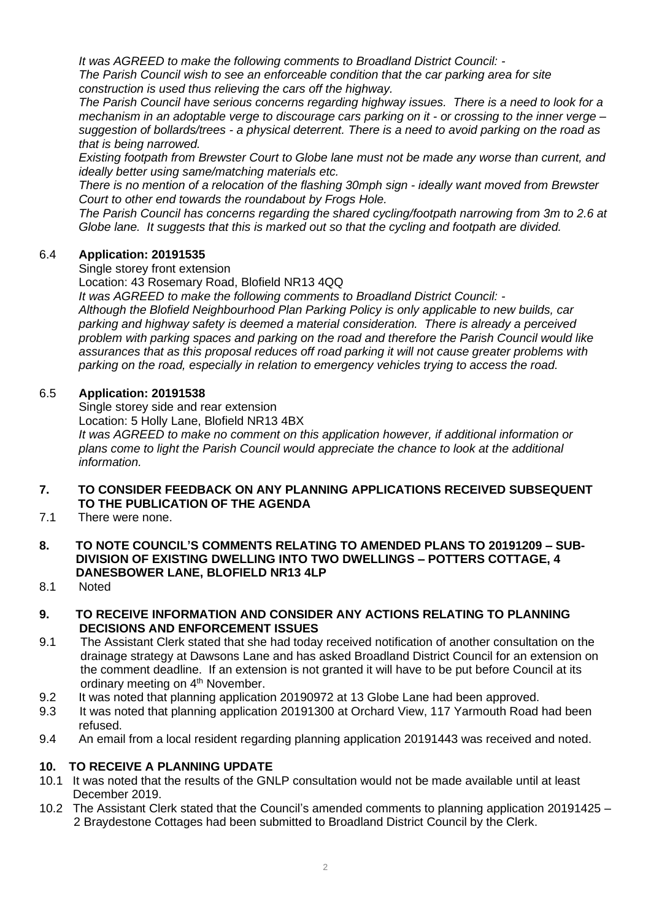*It was AGREED to make the following comments to Broadland District Council: -*

*The Parish Council wish to see an enforceable condition that the car parking area for site construction is used thus relieving the cars off the highway.*

*The Parish Council have serious concerns regarding highway issues. There is a need to look for a* mechanism in an adoptable verge to discourage cars parking on it - or crossing to the inner verge suggestion of bollards/trees - a physical deterrent. There is a need to avoid parking on the road as *that is being narrowed.* 

*Existing footpath from Brewster Court to Globe lane must not be made any worse than current, and ideally better using same/matching materials etc.* 

*There is no mention of a relocation of the flashing 30mph sign - ideally want moved from Brewster Court to other end towards the roundabout by Frogs Hole.*

*The Parish Council has concerns regarding the shared cycling/footpath narrowing from 3m to 2.6 at Globe lane. It suggests that this is marked out so that the cycling and footpath are divided.*

## 6.4 **Application: 20191535**

Single storey front extension

Location: 43 Rosemary Road, Blofield NR13 4QQ

*It was AGREED to make the following comments to Broadland District Council: -*

*Although the Blofield Neighbourhood Plan Parking Policy is only applicable to new builds, car parking and highway safety is deemed a material consideration. There is already a perceived problem with parking spaces and parking on the road and therefore the Parish Council would like assurances that as this proposal reduces off road parking it will not cause greater problems with parking on the road, especially in relation to emergency vehicles trying to access the road.*

## 6.5 **Application: 20191538**

Single storey side and rear extension

Location: 5 Holly Lane, Blofield NR13 4BX

*It was AGREED to make no comment on this application however, if additional information or plans come to light the Parish Council would appreciate the chance to look at the additional information.* 

## **7. TO CONSIDER FEEDBACK ON ANY PLANNING APPLICATIONS RECEIVED SUBSEQUENT TO THE PUBLICATION OF THE AGENDA**

- 7.1 There were none.
- **8. TO NOTE COUNCIL'S COMMENTS RELATING TO AMENDED PLANS TO 20191209 – SUB- DIVISION OF EXISTING DWELLING INTO TWO DWELLINGS – POTTERS COTTAGE, 4 DANESBOWER LANE, BLOFIELD NR13 4LP**
- 8.1 Noted

## **9. TO RECEIVE INFORMATION AND CONSIDER ANY ACTIONS RELATING TO PLANNING DECISIONS AND ENFORCEMENT ISSUES**

- 9.1 The Assistant Clerk stated that she had today received notification of another consultation on the drainage strategy at Dawsons Lane and has asked Broadland District Council for an extension on the comment deadline. If an extension is not granted it will have to be put before Council at its ordinary meeting on 4<sup>th</sup> November.
- 9.2 It was noted that planning application 20190972 at 13 Globe Lane had been approved.
- 9.3 It was noted that planning application 20191300 at Orchard View, 117 Yarmouth Road had been refused.
- 9.4 An email from a local resident regarding planning application 20191443 was received and noted.

# **10. TO RECEIVE A PLANNING UPDATE**

- 10.1 It was noted that the results of the GNLP consultation would not be made available until at least December 2019.
- 10.2 The Assistant Clerk stated that the Council's amended comments to planning application 20191425 2 Braydestone Cottages had been submitted to Broadland District Council by the Clerk.